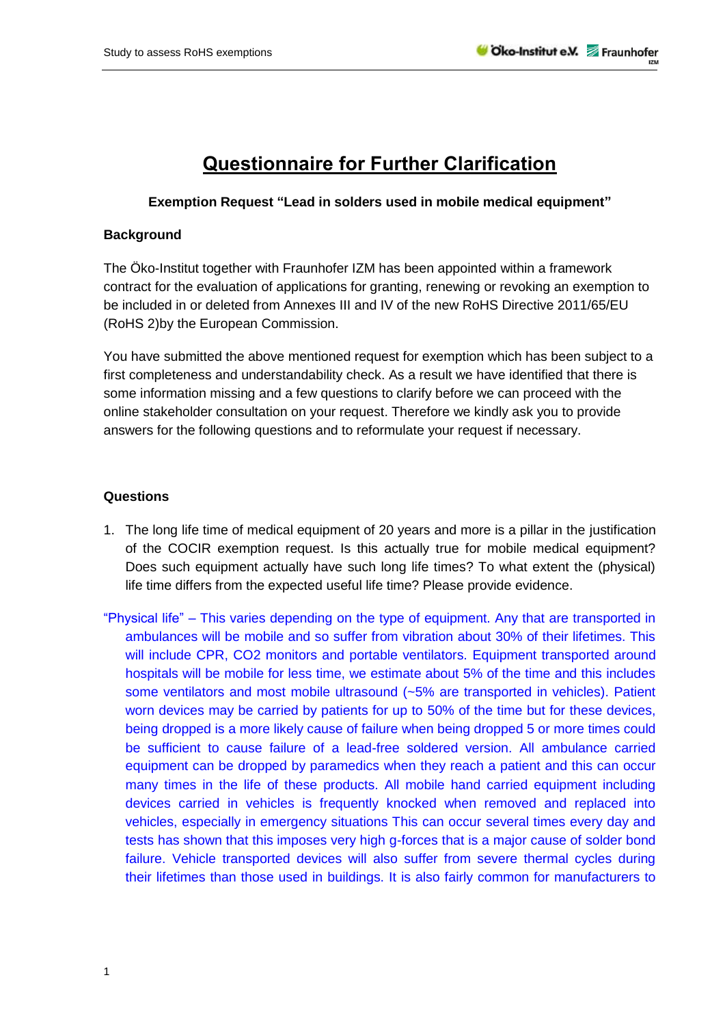## **Questionnaire for Further Clarification**

## **Exemption Request "Lead in solders used in mobile medical equipment"**

## **Background**

The Öko-Institut together with Fraunhofer IZM has been appointed within a framework contract for the evaluation of applications for granting, renewing or revoking an exemption to be included in or deleted from Annexes III and IV of the new RoHS Directive 2011/65/EU (RoHS 2)by the European Commission.

You have submitted the above mentioned request for exemption which has been subject to a first completeness and understandability check. As a result we have identified that there is some information missing and a few questions to clarify before we can proceed with the online stakeholder consultation on your request. Therefore we kindly ask you to provide answers for the following questions and to reformulate your request if necessary.

## **Questions**

- 1. The long life time of medical equipment of 20 years and more is a pillar in the justification of the COCIR exemption request. Is this actually true for mobile medical equipment? Does such equipment actually have such long life times? To what extent the (physical) life time differs from the expected useful life time? Please provide evidence.
- "Physical life" This varies depending on the type of equipment. Any that are transported in ambulances will be mobile and so suffer from vibration about 30% of their lifetimes. This will include CPR, CO2 monitors and portable ventilators. Equipment transported around hospitals will be mobile for less time, we estimate about 5% of the time and this includes some ventilators and most mobile ultrasound (~5% are transported in vehicles). Patient worn devices may be carried by patients for up to 50% of the time but for these devices, being dropped is a more likely cause of failure when being dropped 5 or more times could be sufficient to cause failure of a lead-free soldered version. All ambulance carried equipment can be dropped by paramedics when they reach a patient and this can occur many times in the life of these products. All mobile hand carried equipment including devices carried in vehicles is frequently knocked when removed and replaced into vehicles, especially in emergency situations This can occur several times every day and tests has shown that this imposes very high g-forces that is a major cause of solder bond failure. Vehicle transported devices will also suffer from severe thermal cycles during their lifetimes than those used in buildings. It is also fairly common for manufacturers to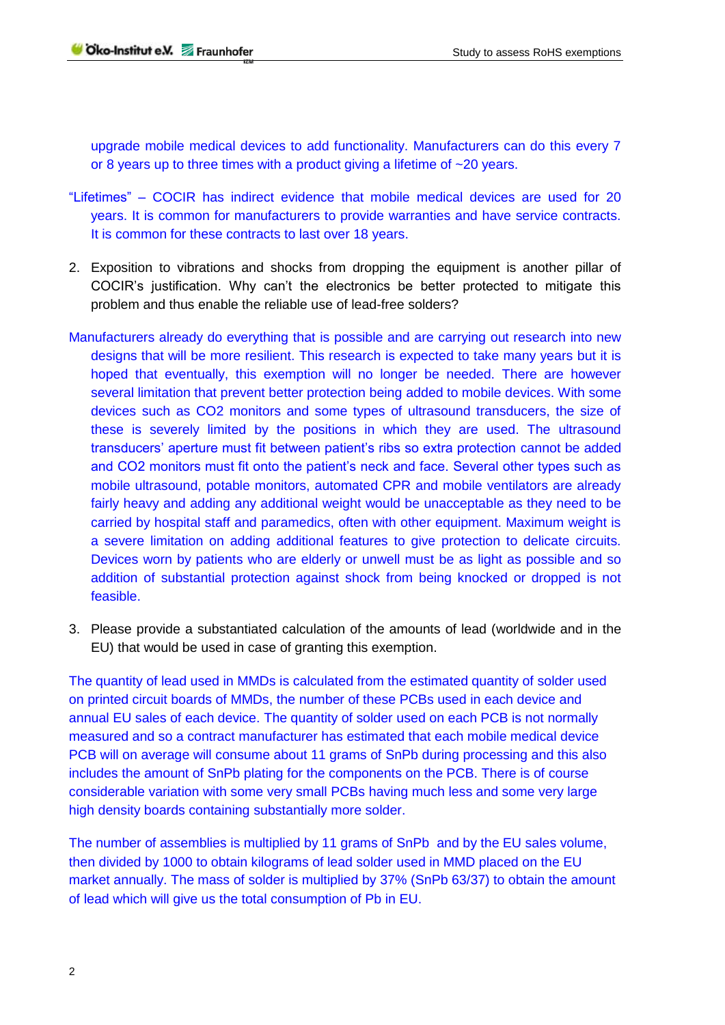upgrade mobile medical devices to add functionality. Manufacturers can do this every 7 or 8 years up to three times with a product giving a lifetime of ~20 years.

- "Lifetimes" COCIR has indirect evidence that mobile medical devices are used for 20 years. It is common for manufacturers to provide warranties and have service contracts. It is common for these contracts to last over 18 years.
- 2. Exposition to vibrations and shocks from dropping the equipment is another pillar of COCIR's justification. Why can't the electronics be better protected to mitigate this problem and thus enable the reliable use of lead-free solders?
- Manufacturers already do everything that is possible and are carrying out research into new designs that will be more resilient. This research is expected to take many years but it is hoped that eventually, this exemption will no longer be needed. There are however several limitation that prevent better protection being added to mobile devices. With some devices such as CO2 monitors and some types of ultrasound transducers, the size of these is severely limited by the positions in which they are used. The ultrasound transducers' aperture must fit between patient's ribs so extra protection cannot be added and CO2 monitors must fit onto the patient's neck and face. Several other types such as mobile ultrasound, potable monitors, automated CPR and mobile ventilators are already fairly heavy and adding any additional weight would be unacceptable as they need to be carried by hospital staff and paramedics, often with other equipment. Maximum weight is a severe limitation on adding additional features to give protection to delicate circuits. Devices worn by patients who are elderly or unwell must be as light as possible and so addition of substantial protection against shock from being knocked or dropped is not feasible.
- 3. Please provide a substantiated calculation of the amounts of lead (worldwide and in the EU) that would be used in case of granting this exemption.

The quantity of lead used in MMDs is calculated from the estimated quantity of solder used on printed circuit boards of MMDs, the number of these PCBs used in each device and annual EU sales of each device. The quantity of solder used on each PCB is not normally measured and so a contract manufacturer has estimated that each mobile medical device PCB will on average will consume about 11 grams of SnPb during processing and this also includes the amount of SnPb plating for the components on the PCB. There is of course considerable variation with some very small PCBs having much less and some very large high density boards containing substantially more solder.

The number of assemblies is multiplied by 11 grams of SnPb and by the EU sales volume, then divided by 1000 to obtain kilograms of lead solder used in MMD placed on the EU market annually. The mass of solder is multiplied by 37% (SnPb 63/37) to obtain the amount of lead which will give us the total consumption of Pb in EU.